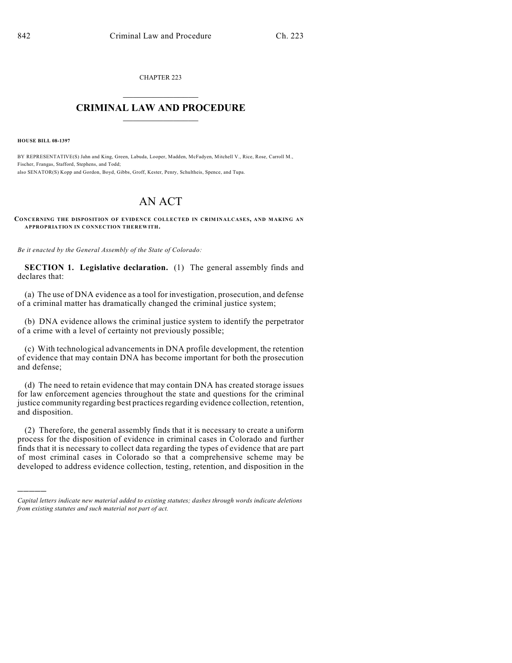CHAPTER 223  $\mathcal{L}_\text{max}$  . The set of the set of the set of the set of the set of the set of the set of the set of the set of the set of the set of the set of the set of the set of the set of the set of the set of the set of the set

## **CRIMINAL LAW AND PROCEDURE**  $\frac{1}{2}$  ,  $\frac{1}{2}$  ,  $\frac{1}{2}$  ,  $\frac{1}{2}$  ,  $\frac{1}{2}$  ,  $\frac{1}{2}$  ,  $\frac{1}{2}$

**HOUSE BILL 08-1397**

)))))

BY REPRESENTATIVE(S) Jahn and King, Green, Labuda, Looper, Madden, McFadyen, Mitchell V., Rice, Rose, Carroll M., Fischer, Frangas, Stafford, Stephens, and Todd; also SENATOR(S) Kopp and Gordon, Boyd, Gibbs, Groff, Kester, Penry, Schultheis, Spence, and Tupa.

## AN ACT

**CONCERNING THE DISPOSITION OF EVIDENCE COLLECTED IN CRIM INALCASES, AND MAKING AN APPROPRIATION IN CONNECTION THEREWITH.**

*Be it enacted by the General Assembly of the State of Colorado:*

**SECTION 1. Legislative declaration.** (1) The general assembly finds and declares that:

(a) The use of DNA evidence as a tool for investigation, prosecution, and defense of a criminal matter has dramatically changed the criminal justice system;

(b) DNA evidence allows the criminal justice system to identify the perpetrator of a crime with a level of certainty not previously possible;

(c) With technological advancements in DNA profile development, the retention of evidence that may contain DNA has become important for both the prosecution and defense;

(d) The need to retain evidence that may contain DNA has created storage issues for law enforcement agencies throughout the state and questions for the criminal justice community regarding best practices regarding evidence collection, retention, and disposition.

(2) Therefore, the general assembly finds that it is necessary to create a uniform process for the disposition of evidence in criminal cases in Colorado and further finds that it is necessary to collect data regarding the types of evidence that are part of most criminal cases in Colorado so that a comprehensive scheme may be developed to address evidence collection, testing, retention, and disposition in the

*Capital letters indicate new material added to existing statutes; dashes through words indicate deletions from existing statutes and such material not part of act.*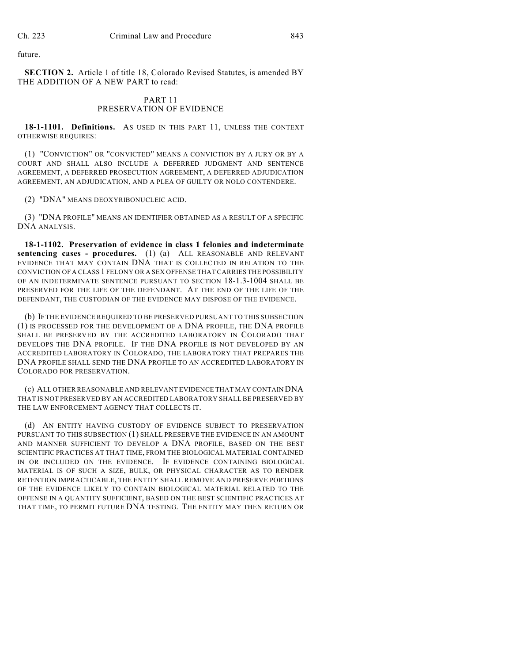future.

**SECTION 2.** Article 1 of title 18, Colorado Revised Statutes, is amended BY THE ADDITION OF A NEW PART to read:

## PART 11 PRESERVATION OF EVIDENCE

18-1-1101. Definitions. As USED IN THIS PART 11, UNLESS THE CONTEXT OTHERWISE REQUIRES:

(1) "CONVICTION" OR "CONVICTED" MEANS A CONVICTION BY A JURY OR BY A COURT AND SHALL ALSO INCLUDE A DEFERRED JUDGMENT AND SENTENCE AGREEMENT, A DEFERRED PROSECUTION AGREEMENT, A DEFERRED ADJUDICATION AGREEMENT, AN ADJUDICATION, AND A PLEA OF GUILTY OR NOLO CONTENDERE.

(2) "DNA" MEANS DEOXYRIBONUCLEIC ACID.

(3) "DNA PROFILE" MEANS AN IDENTIFIER OBTAINED AS A RESULT OF A SPECIFIC DNA ANALYSIS.

**18-1-1102. Preservation of evidence in class 1 felonies and indeterminate sentencing cases - procedures.** (1) (a) ALL REASONABLE AND RELEVANT EVIDENCE THAT MAY CONTAIN DNA THAT IS COLLECTED IN RELATION TO THE CONVICTION OF A CLASS 1 FELONY OR A SEX OFFENSE THAT CARRIES THE POSSIBILITY OF AN INDETERMINATE SENTENCE PURSUANT TO SECTION 18-1.3-1004 SHALL BE PRESERVED FOR THE LIFE OF THE DEFENDANT. AT THE END OF THE LIFE OF THE DEFENDANT, THE CUSTODIAN OF THE EVIDENCE MAY DISPOSE OF THE EVIDENCE.

(b) IF THE EVIDENCE REQUIRED TO BE PRESERVED PURSUANT TO THIS SUBSECTION (1) IS PROCESSED FOR THE DEVELOPMENT OF A DNA PROFILE, THE DNA PROFILE SHALL BE PRESERVED BY THE ACCREDITED LABORATORY IN COLORADO THAT DEVELOPS THE DNA PROFILE. IF THE DNA PROFILE IS NOT DEVELOPED BY AN ACCREDITED LABORATORY IN COLORADO, THE LABORATORY THAT PREPARES THE DNA PROFILE SHALL SEND THE DNA PROFILE TO AN ACCREDITED LABORATORY IN COLORADO FOR PRESERVATION.

(c) ALL OTHER REASONABLE AND RELEVANT EVIDENCE THAT MAY CONTAIN DNA THAT IS NOT PRESERVED BY AN ACCREDITED LABORATORY SHALL BE PRESERVED BY THE LAW ENFORCEMENT AGENCY THAT COLLECTS IT.

(d) AN ENTITY HAVING CUSTODY OF EVIDENCE SUBJECT TO PRESERVATION PURSUANT TO THIS SUBSECTION (1) SHALL PRESERVE THE EVIDENCE IN AN AMOUNT AND MANNER SUFFICIENT TO DEVELOP A DNA PROFILE, BASED ON THE BEST SCIENTIFIC PRACTICES AT THAT TIME, FROM THE BIOLOGICAL MATERIAL CONTAINED IN OR INCLUDED ON THE EVIDENCE. IF EVIDENCE CONTAINING BIOLOGICAL MATERIAL IS OF SUCH A SIZE, BULK, OR PHYSICAL CHARACTER AS TO RENDER RETENTION IMPRACTICABLE, THE ENTITY SHALL REMOVE AND PRESERVE PORTIONS OF THE EVIDENCE LIKELY TO CONTAIN BIOLOGICAL MATERIAL RELATED TO THE OFFENSE IN A QUANTITY SUFFICIENT, BASED ON THE BEST SCIENTIFIC PRACTICES AT THAT TIME, TO PERMIT FUTURE DNA TESTING. THE ENTITY MAY THEN RETURN OR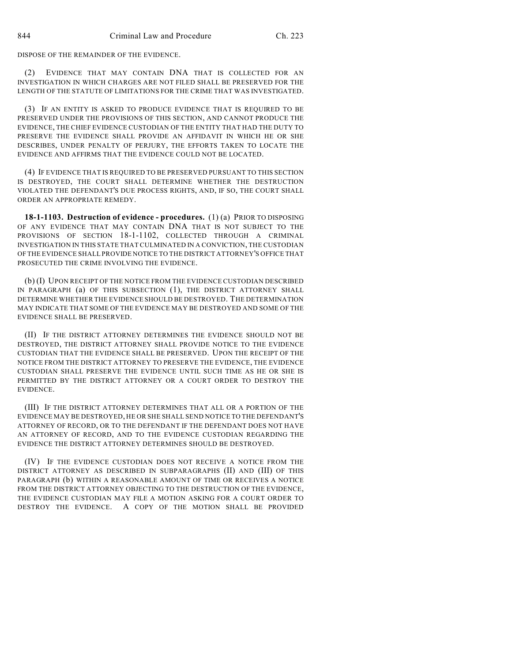DISPOSE OF THE REMAINDER OF THE EVIDENCE.

EVIDENCE THAT MAY CONTAIN DNA THAT IS COLLECTED FOR AN INVESTIGATION IN WHICH CHARGES ARE NOT FILED SHALL BE PRESERVED FOR THE LENGTH OF THE STATUTE OF LIMITATIONS FOR THE CRIME THAT WAS INVESTIGATED.

(3) IF AN ENTITY IS ASKED TO PRODUCE EVIDENCE THAT IS REQUIRED TO BE PRESERVED UNDER THE PROVISIONS OF THIS SECTION, AND CANNOT PRODUCE THE EVIDENCE, THE CHIEF EVIDENCE CUSTODIAN OF THE ENTITY THAT HAD THE DUTY TO PRESERVE THE EVIDENCE SHALL PROVIDE AN AFFIDAVIT IN WHICH HE OR SHE DESCRIBES, UNDER PENALTY OF PERJURY, THE EFFORTS TAKEN TO LOCATE THE EVIDENCE AND AFFIRMS THAT THE EVIDENCE COULD NOT BE LOCATED.

(4) IF EVIDENCE THAT IS REQUIRED TO BE PRESERVED PURSUANT TO THIS SECTION IS DESTROYED, THE COURT SHALL DETERMINE WHETHER THE DESTRUCTION VIOLATED THE DEFENDANT'S DUE PROCESS RIGHTS, AND, IF SO, THE COURT SHALL ORDER AN APPROPRIATE REMEDY.

**18-1-1103. Destruction of evidence - procedures.** (1) (a) PRIOR TO DISPOSING OF ANY EVIDENCE THAT MAY CONTAIN DNA THAT IS NOT SUBJECT TO THE PROVISIONS OF SECTION 18-1-1102, COLLECTED THROUGH A CRIMINAL INVESTIGATION IN THIS STATE THAT CULMINATED IN A CONVICTION, THE CUSTODIAN OF THE EVIDENCE SHALL PROVIDE NOTICE TO THE DISTRICT ATTORNEY'S OFFICE THAT PROSECUTED THE CRIME INVOLVING THE EVIDENCE.

(b) (I) UPON RECEIPT OF THE NOTICE FROM THE EVIDENCE CUSTODIAN DESCRIBED IN PARAGRAPH (a) OF THIS SUBSECTION (1), THE DISTRICT ATTORNEY SHALL DETERMINE WHETHER THE EVIDENCE SHOULD BE DESTROYED. THE DETERMINATION MAY INDICATE THAT SOME OF THE EVIDENCE MAY BE DESTROYED AND SOME OF THE EVIDENCE SHALL BE PRESERVED.

(II) IF THE DISTRICT ATTORNEY DETERMINES THE EVIDENCE SHOULD NOT BE DESTROYED, THE DISTRICT ATTORNEY SHALL PROVIDE NOTICE TO THE EVIDENCE CUSTODIAN THAT THE EVIDENCE SHALL BE PRESERVED. UPON THE RECEIPT OF THE NOTICE FROM THE DISTRICT ATTORNEY TO PRESERVE THE EVIDENCE, THE EVIDENCE CUSTODIAN SHALL PRESERVE THE EVIDENCE UNTIL SUCH TIME AS HE OR SHE IS PERMITTED BY THE DISTRICT ATTORNEY OR A COURT ORDER TO DESTROY THE EVIDENCE.

(III) IF THE DISTRICT ATTORNEY DETERMINES THAT ALL OR A PORTION OF THE EVIDENCE MAY BE DESTROYED, HE OR SHE SHALL SEND NOTICE TO THE DEFENDANT'S ATTORNEY OF RECORD, OR TO THE DEFENDANT IF THE DEFENDANT DOES NOT HAVE AN ATTORNEY OF RECORD, AND TO THE EVIDENCE CUSTODIAN REGARDING THE EVIDENCE THE DISTRICT ATTORNEY DETERMINES SHOULD BE DESTROYED.

(IV) IF THE EVIDENCE CUSTODIAN DOES NOT RECEIVE A NOTICE FROM THE DISTRICT ATTORNEY AS DESCRIBED IN SUBPARAGRAPHS (II) AND (III) OF THIS PARAGRAPH (b) WITHIN A REASONABLE AMOUNT OF TIME OR RECEIVES A NOTICE FROM THE DISTRICT ATTORNEY OBJECTING TO THE DESTRUCTION OF THE EVIDENCE, THE EVIDENCE CUSTODIAN MAY FILE A MOTION ASKING FOR A COURT ORDER TO DESTROY THE EVIDENCE. A COPY OF THE MOTION SHALL BE PROVIDED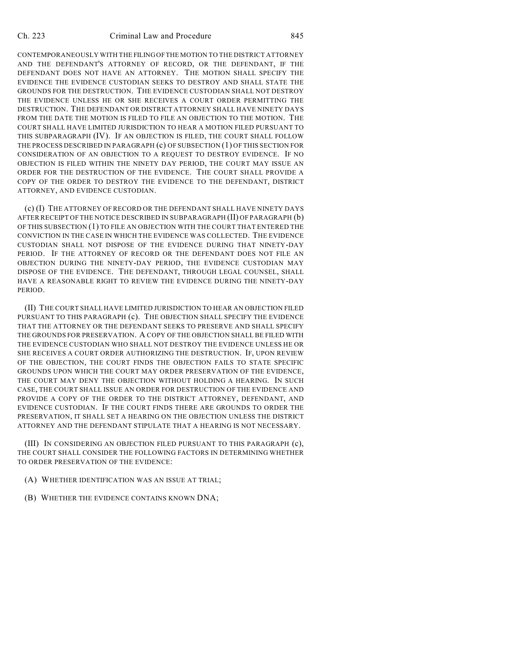CONTEMPORANEOUSLY WITH THE FILING OF THE MOTION TO THE DISTRICT ATTORNEY AND THE DEFENDANT'S ATTORNEY OF RECORD, OR THE DEFENDANT, IF THE DEFENDANT DOES NOT HAVE AN ATTORNEY. THE MOTION SHALL SPECIFY THE EVIDENCE THE EVIDENCE CUSTODIAN SEEKS TO DESTROY AND SHALL STATE THE GROUNDS FOR THE DESTRUCTION. THE EVIDENCE CUSTODIAN SHALL NOT DESTROY THE EVIDENCE UNLESS HE OR SHE RECEIVES A COURT ORDER PERMITTING THE DESTRUCTION. THE DEFENDANT OR DISTRICT ATTORNEY SHALL HAVE NINETY DAYS FROM THE DATE THE MOTION IS FILED TO FILE AN OBJECTION TO THE MOTION. THE COURT SHALL HAVE LIMITED JURISDICTION TO HEAR A MOTION FILED PURSUANT TO THIS SUBPARAGRAPH (IV). IF AN OBJECTION IS FILED, THE COURT SHALL FOLLOW THE PROCESS DESCRIBED IN PARAGRAPH (c) OF SUBSECTION (1) OF THIS SECTION FOR CONSIDERATION OF AN OBJECTION TO A REQUEST TO DESTROY EVIDENCE. IF NO OBJECTION IS FILED WITHIN THE NINETY DAY PERIOD, THE COURT MAY ISSUE AN ORDER FOR THE DESTRUCTION OF THE EVIDENCE. THE COURT SHALL PROVIDE A COPY OF THE ORDER TO DESTROY THE EVIDENCE TO THE DEFENDANT, DISTRICT ATTORNEY, AND EVIDENCE CUSTODIAN.

(c) (I) THE ATTORNEY OF RECORD OR THE DEFENDANT SHALL HAVE NINETY DAYS AFTER RECEIPT OF THE NOTICE DESCRIBED IN SUBPARAGRAPH (II) OF PARAGRAPH (b) OF THIS SUBSECTION (1) TO FILE AN OBJECTION WITH THE COURT THAT ENTERED THE CONVICTION IN THE CASE IN WHICH THE EVIDENCE WAS COLLECTED. THE EVIDENCE CUSTODIAN SHALL NOT DISPOSE OF THE EVIDENCE DURING THAT NINETY-DAY PERIOD. IF THE ATTORNEY OF RECORD OR THE DEFENDANT DOES NOT FILE AN OBJECTION DURING THE NINETY-DAY PERIOD, THE EVIDENCE CUSTODIAN MAY DISPOSE OF THE EVIDENCE. THE DEFENDANT, THROUGH LEGAL COUNSEL, SHALL HAVE A REASONABLE RIGHT TO REVIEW THE EVIDENCE DURING THE NINETY-DAY PERIOD.

(II) THE COURT SHALL HAVE LIMITED JURISDICTION TO HEAR AN OBJECTION FILED PURSUANT TO THIS PARAGRAPH (c). THE OBJECTION SHALL SPECIFY THE EVIDENCE THAT THE ATTORNEY OR THE DEFENDANT SEEKS TO PRESERVE AND SHALL SPECIFY THE GROUNDS FOR PRESERVATION. A COPY OF THE OBJECTION SHALL BE FILED WITH THE EVIDENCE CUSTODIAN WHO SHALL NOT DESTROY THE EVIDENCE UNLESS HE OR SHE RECEIVES A COURT ORDER AUTHORIZING THE DESTRUCTION. IF, UPON REVIEW OF THE OBJECTION, THE COURT FINDS THE OBJECTION FAILS TO STATE SPECIFIC GROUNDS UPON WHICH THE COURT MAY ORDER PRESERVATION OF THE EVIDENCE, THE COURT MAY DENY THE OBJECTION WITHOUT HOLDING A HEARING. IN SUCH CASE, THE COURT SHALL ISSUE AN ORDER FOR DESTRUCTION OF THE EVIDENCE AND PROVIDE A COPY OF THE ORDER TO THE DISTRICT ATTORNEY, DEFENDANT, AND EVIDENCE CUSTODIAN. IF THE COURT FINDS THERE ARE GROUNDS TO ORDER THE PRESERVATION, IT SHALL SET A HEARING ON THE OBJECTION UNLESS THE DISTRICT ATTORNEY AND THE DEFENDANT STIPULATE THAT A HEARING IS NOT NECESSARY.

(III) IN CONSIDERING AN OBJECTION FILED PURSUANT TO THIS PARAGRAPH (c), THE COURT SHALL CONSIDER THE FOLLOWING FACTORS IN DETERMINING WHETHER TO ORDER PRESERVATION OF THE EVIDENCE:

(A) WHETHER IDENTIFICATION WAS AN ISSUE AT TRIAL;

(B) WHETHER THE EVIDENCE CONTAINS KNOWN DNA;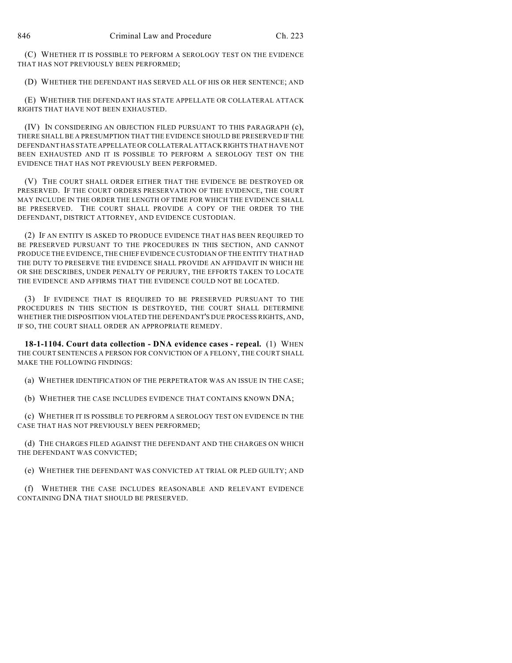(C) WHETHER IT IS POSSIBLE TO PERFORM A SEROLOGY TEST ON THE EVIDENCE THAT HAS NOT PREVIOUSLY BEEN PERFORMED;

(D) WHETHER THE DEFENDANT HAS SERVED ALL OF HIS OR HER SENTENCE; AND

(E) WHETHER THE DEFENDANT HAS STATE APPELLATE OR COLLATERAL ATTACK RIGHTS THAT HAVE NOT BEEN EXHAUSTED.

(IV) IN CONSIDERING AN OBJECTION FILED PURSUANT TO THIS PARAGRAPH (c), THERE SHALL BE A PRESUMPTION THAT THE EVIDENCE SHOULD BE PRESERVED IF THE DEFENDANT HAS STATE APPELLATE OR COLLATERAL ATTACK RIGHTS THAT HAVE NOT BEEN EXHAUSTED AND IT IS POSSIBLE TO PERFORM A SEROLOGY TEST ON THE EVIDENCE THAT HAS NOT PREVIOUSLY BEEN PERFORMED.

(V) THE COURT SHALL ORDER EITHER THAT THE EVIDENCE BE DESTROYED OR PRESERVED. IF THE COURT ORDERS PRESERVATION OF THE EVIDENCE, THE COURT MAY INCLUDE IN THE ORDER THE LENGTH OF TIME FOR WHICH THE EVIDENCE SHALL BE PRESERVED. THE COURT SHALL PROVIDE A COPY OF THE ORDER TO THE DEFENDANT, DISTRICT ATTORNEY, AND EVIDENCE CUSTODIAN.

(2) IF AN ENTITY IS ASKED TO PRODUCE EVIDENCE THAT HAS BEEN REQUIRED TO BE PRESERVED PURSUANT TO THE PROCEDURES IN THIS SECTION, AND CANNOT PRODUCE THE EVIDENCE, THE CHIEF EVIDENCE CUSTODIAN OF THE ENTITY THAT HAD THE DUTY TO PRESERVE THE EVIDENCE SHALL PROVIDE AN AFFIDAVIT IN WHICH HE OR SHE DESCRIBES, UNDER PENALTY OF PERJURY, THE EFFORTS TAKEN TO LOCATE THE EVIDENCE AND AFFIRMS THAT THE EVIDENCE COULD NOT BE LOCATED.

(3) IF EVIDENCE THAT IS REQUIRED TO BE PRESERVED PURSUANT TO THE PROCEDURES IN THIS SECTION IS DESTROYED, THE COURT SHALL DETERMINE WHETHER THE DISPOSITION VIOLATED THE DEFENDANT'S DUE PROCESS RIGHTS, AND, IF SO, THE COURT SHALL ORDER AN APPROPRIATE REMEDY.

**18-1-1104. Court data collection - DNA evidence cases - repeal.** (1) WHEN THE COURT SENTENCES A PERSON FOR CONVICTION OF A FELONY, THE COURT SHALL MAKE THE FOLLOWING FINDINGS:

(a) WHETHER IDENTIFICATION OF THE PERPETRATOR WAS AN ISSUE IN THE CASE;

(b) WHETHER THE CASE INCLUDES EVIDENCE THAT CONTAINS KNOWN DNA;

(c) WHETHER IT IS POSSIBLE TO PERFORM A SEROLOGY TEST ON EVIDENCE IN THE CASE THAT HAS NOT PREVIOUSLY BEEN PERFORMED;

(d) THE CHARGES FILED AGAINST THE DEFENDANT AND THE CHARGES ON WHICH THE DEFENDANT WAS CONVICTED;

(e) WHETHER THE DEFENDANT WAS CONVICTED AT TRIAL OR PLED GUILTY; AND

(f) WHETHER THE CASE INCLUDES REASONABLE AND RELEVANT EVIDENCE CONTAINING DNA THAT SHOULD BE PRESERVED.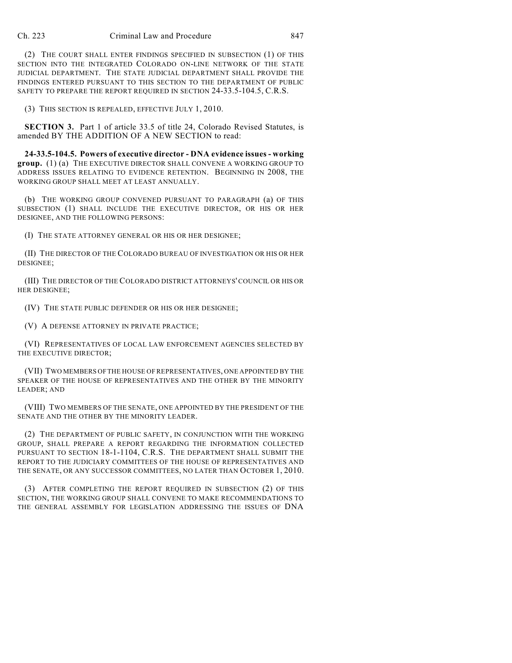(2) THE COURT SHALL ENTER FINDINGS SPECIFIED IN SUBSECTION (1) OF THIS SECTION INTO THE INTEGRATED COLORADO ON-LINE NETWORK OF THE STATE JUDICIAL DEPARTMENT. THE STATE JUDICIAL DEPARTMENT SHALL PROVIDE THE FINDINGS ENTERED PURSUANT TO THIS SECTION TO THE DEPARTMENT OF PUBLIC SAFETY TO PREPARE THE REPORT REQUIRED IN SECTION 24-33.5-104.5, C.R.S.

(3) THIS SECTION IS REPEALED, EFFECTIVE JULY 1, 2010.

**SECTION 3.** Part 1 of article 33.5 of title 24, Colorado Revised Statutes, is amended BY THE ADDITION OF A NEW SECTION to read:

**24-33.5-104.5. Powers of executive director - DNA evidence issues - working group.** (1) (a) THE EXECUTIVE DIRECTOR SHALL CONVENE A WORKING GROUP TO ADDRESS ISSUES RELATING TO EVIDENCE RETENTION. BEGINNING IN 2008, THE WORKING GROUP SHALL MEET AT LEAST ANNUALLY.

(b) THE WORKING GROUP CONVENED PURSUANT TO PARAGRAPH (a) OF THIS SUBSECTION (1) SHALL INCLUDE THE EXECUTIVE DIRECTOR, OR HIS OR HER DESIGNEE, AND THE FOLLOWING PERSONS:

(I) THE STATE ATTORNEY GENERAL OR HIS OR HER DESIGNEE;

(II) THE DIRECTOR OF THE COLORADO BUREAU OF INVESTIGATION OR HIS OR HER DESIGNEE;

(III) THE DIRECTOR OF THE COLORADO DISTRICT ATTORNEYS' COUNCIL OR HIS OR HER DESIGNEE;

(IV) THE STATE PUBLIC DEFENDER OR HIS OR HER DESIGNEE;

(V) A DEFENSE ATTORNEY IN PRIVATE PRACTICE;

(VI) REPRESENTATIVES OF LOCAL LAW ENFORCEMENT AGENCIES SELECTED BY THE EXECUTIVE DIRECTOR;

(VII) TWO MEMBERS OF THE HOUSE OF REPRESENTATIVES, ONE APPOINTED BY THE SPEAKER OF THE HOUSE OF REPRESENTATIVES AND THE OTHER BY THE MINORITY LEADER; AND

(VIII) TWO MEMBERS OF THE SENATE, ONE APPOINTED BY THE PRESIDENT OF THE SENATE AND THE OTHER BY THE MINORITY LEADER.

(2) THE DEPARTMENT OF PUBLIC SAFETY, IN CONJUNCTION WITH THE WORKING GROUP, SHALL PREPARE A REPORT REGARDING THE INFORMATION COLLECTED PURSUANT TO SECTION 18-1-1104, C.R.S. THE DEPARTMENT SHALL SUBMIT THE REPORT TO THE JUDICIARY COMMITTEES OF THE HOUSE OF REPRESENTATIVES AND THE SENATE, OR ANY SUCCESSOR COMMITTEES, NO LATER THAN OCTOBER 1, 2010.

(3) AFTER COMPLETING THE REPORT REQUIRED IN SUBSECTION (2) OF THIS SECTION, THE WORKING GROUP SHALL CONVENE TO MAKE RECOMMENDATIONS TO THE GENERAL ASSEMBLY FOR LEGISLATION ADDRESSING THE ISSUES OF DNA